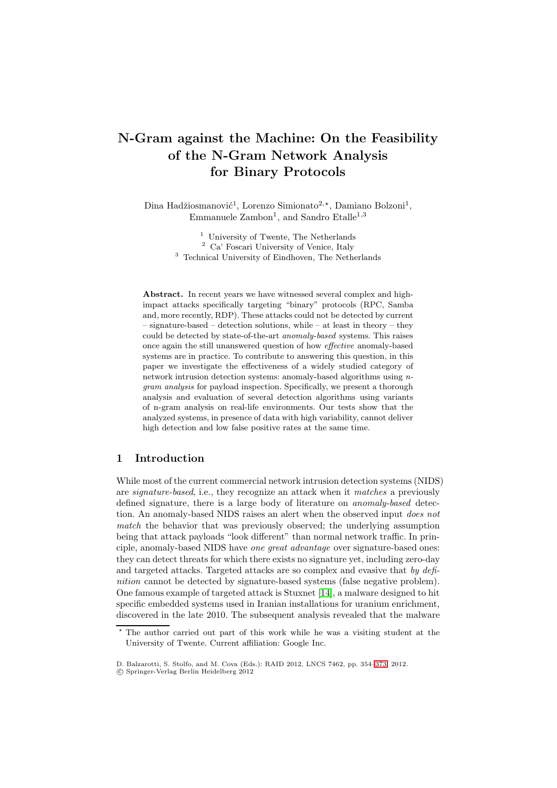# **N-Gram against the Machine: On the Feasibility of the N-Gram Network Analysis for Binary Protocols**

Dina Hadžiosmanović<sup>1</sup>, Lorenzo Simionato<sup>2,\*</sup>, Damiano Bolzoni<sup>1</sup>, Emmanuele  $\text{Zambon}^1$ , and  $\text{Sandro}$  Etalle<sup>1,3</sup>

> <sup>1</sup> University of Twente, The Netherlands <sup>2</sup> Ca' Foscari University of Venice, Italy <sup>3</sup> Technical University of Eindhoven, The Netherlands

**Abstract.** In recent years we have witnessed several complex and highimpact attacks specifically targeting "binary" protocols (RPC, Samba and, more recently, RDP). These attacks could not be detected by current – signature-based – detection solutions, while – at least in theory – they could be detected by state-of-the-art anomaly-based systems. This raises once again the still unanswered question of how effective anomaly-based systems are in practice. To contribute to answering this question, in this paper we investigate the effectiveness of a widely studied category of network intrusion detection systems: anomaly-based algorithms using ngram analysis for payload inspection. Specifically, we present a thorough analysis and evaluation of several detection algorithms using variants of n-gram analysis on real-life environments. Our tests show that the analyzed systems, in presence of data with high variability, cannot deliver high detection and low false positive rates at the same time.

# **1 Introduction**

While most of the current commercial network intrusion detection systems (NIDS) are *signature-based*, i.e., they recognize an attack when it *matches* a previously defined signature, there is a large body of literature on *anomaly-based* detection. An anomaly-based NIDS raises an alert when the observed input *does not match* the behavior that was previously observed; the underlying assumption being that attack payloads "look different" than normal network traffic. In principle, anomaly-based NIDS have *one great advantage* over signature-based ones: they can detect threats for which there exists no signature yet, including zero-day and targeted attacks. Targeted attacks are so complex and evasive that *by definition* cannot be detected by signature-based systems (false negative problem). One famous example of targeted attack is Stuxnet [\[14\]](#page-18-0), a malware designed to hit specific embedded systems used in Iranian installations for uranium enrichment, discovered in the late 2010. The subsequent analysis revealed that the malware

 $\star$  The author carried out part of this work while he was a visiting student at the University of Twente. Current affiliation: Google Inc.

D. Balzarotti, S. Stolfo, and M. Cova (Eds.): RAID 2012, LNCS 7462, pp. 354[–373,](#page-17-0) 2012.

<sup>-</sup>c Springer-Verlag Berlin Heidelberg 2012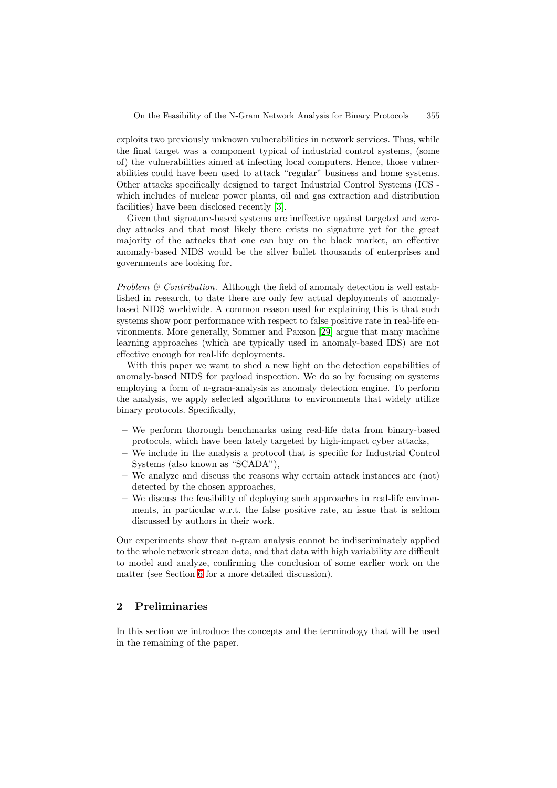exploits two previously unknown vulnerabilities in network services. Thus, while the final target was a component typical of industrial control systems, (some of) the vulnerabilities aimed at infecting local computers. Hence, those vulnerabilities could have been used to attack "regular" business and home systems. Other attacks specifically designed to target Industrial Control Systems (ICS which includes of nuclear power plants, oil and gas extraction and distribution facilities) have been disclosed recently [\[3\]](#page-18-1).

Given that signature-based systems are ineffective against targeted and zeroday attacks and that most likely there exists no signature yet for the great majority of the attacks that one can buy on the black market, an effective anomaly-based NIDS would be the silver bullet thousands of enterprises and governments are looking for.

*Problem & Contribution.* Although the field of anomaly detection is well established in research, to date there are only few actual deployments of anomalybased NIDS worldwide. A common reason used for explaining this is that such systems show poor performance with respect to false positive rate in real-life environments. More generally, Sommer and Paxson [\[29\]](#page-19-0) argue that many machine learning approaches (which are typically used in anomaly-based IDS) are not effective enough for real-life deployments.

With this paper we want to shed a new light on the detection capabilities of anomaly-based NIDS for payload inspection. We do so by focusing on systems employing a form of n-gram-analysis as anomaly detection engine. To perform the analysis, we apply selected algorithms to environments that widely utilize binary protocols. Specifically,

- **–** We perform thorough benchmarks using real-life data from binary-based protocols, which have been lately targeted by high-impact cyber attacks,
- **–** We include in the analysis a protocol that is specific for Industrial Control Systems (also known as "SCADA"),
- **–** We analyze and discuss the reasons why certain attack instances are (not) detected by the chosen approaches,
- **–** We discuss the feasibility of deploying such approaches in real-life environments, in particular w.r.t. the false positive rate, an issue that is seldom discussed by authors in their work.

Our experiments show that n-gram analysis cannot be indiscriminately applied to the whole network stream data, and that data with high variability are difficult to model and analyze, confirming the conclusion of some earlier work on the matter (see Section [6](#page-16-0) for a more detailed discussion).

# **2 Preliminaries**

In this section we introduce the concepts and the terminology that will be used in the remaining of the paper.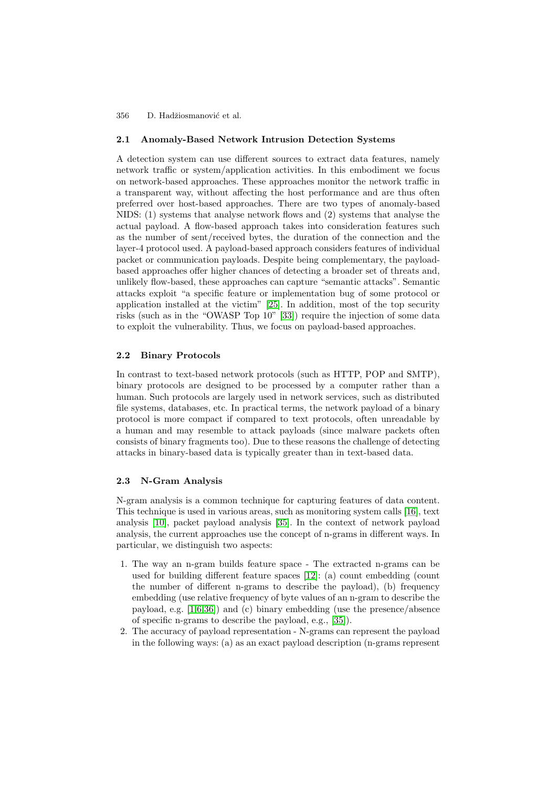#### **2.1 Anomaly-Based Network Intrusion Detection Systems**

A detection system can use different sources to extract data features, namely network traffic or system/application activities. In this embodiment we focus on network-based approaches. These approaches monitor the network traffic in a transparent way, without affecting the host performance and are thus often preferred over host-based approaches. There are two types of anomaly-based NIDS: (1) systems that analyse network flows and (2) systems that analyse the actual payload. A flow-based approach takes into consideration features such as the number of sent/received bytes, the duration of the connection and the layer-4 protocol used. A payload-based approach considers features of individual packet or communication payloads. Despite being complementary, the payloadbased approaches offer higher chances of detecting a broader set of threats and, unlikely flow-based, these approaches can capture "semantic attacks". Semantic attacks exploit "a specific feature or implementation bug of some protocol or application installed at the victim" [\[25\]](#page-19-1). In addition, most of the top security risks (such as in the "OWASP Top 10" [\[33\]](#page-19-2)) require the injection of some data to exploit the vulnerability. Thus, we focus on payload-based approaches.

## **2.2 Binary Protocols**

In contrast to text-based network protocols (such as HTTP, POP and SMTP), binary protocols are designed to be processed by a computer rather than a human. Such protocols are largely used in network services, such as distributed file systems, databases, etc. In practical terms, the network payload of a binary protocol is more compact if compared to text protocols, often unreadable by a human and may resemble to attack payloads (since malware packets often consists of binary fragments too). Due to these reasons the challenge of detecting attacks in binary-based data is typically greater than in text-based data.

## **2.3 N-Gram Analysis**

N-gram analysis is a common technique for capturing features of data content. This technique is used in various areas, such as monitoring system calls [\[16\]](#page-18-2), text analysis [\[10\]](#page-18-3), packet payload analysis [\[35\]](#page-19-3). In the context of network payload analysis, the current approaches use the concept of n-grams in different ways. In particular, we distinguish two aspects:

- 1. The way an n-gram builds feature space The extracted n-grams can be used for building different feature spaces [\[12\]](#page-18-4): (a) count embedding (count the number of different n-grams to describe the payload), (b) frequency embedding (use relative frequency of byte values of an n-gram to describe the payload, e.g. [\[1](#page-17-1)[,6,](#page-18-5)[36\]](#page-19-4)) and (c) binary embedding (use the presence/absence of specific n-grams to describe the payload, e.g., [\[35\]](#page-19-3)).
- 2. The accuracy of payload representation N-grams can represent the payload in the following ways: (a) as an exact payload description (n-grams represent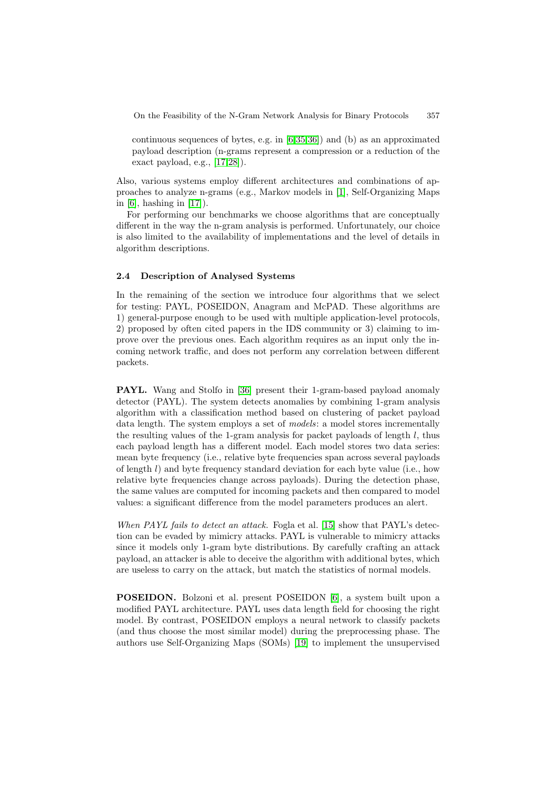continuous sequences of bytes, e.g. in [\[6](#page-18-5)[,35](#page-19-3)[,36\]](#page-19-4)) and (b) as an approximated payload description (n-grams represent a compression or a reduction of the exact payload, e.g., [\[17](#page-18-6)[,28\]](#page-19-5)).

Also, various systems employ different architectures and combinations of approaches to analyze n-grams (e.g., Markov models in [\[1\]](#page-17-1), Self-Organizing Maps in [\[6\]](#page-18-5), hashing in [\[17\]](#page-18-6)).

For performing our benchmarks we choose algorithms that are conceptually different in the way the n-gram analysis is performed. Unfortunately, our choice is also limited to the availability of implementations and the level of details in algorithm descriptions.

## **2.4 Description of Analysed Systems**

In the remaining of the section we introduce four algorithms that we select for testing: PAYL, POSEIDON, Anagram and McPAD. These algorithms are 1) general-purpose enough to be used with multiple application-level protocols, 2) proposed by often cited papers in the IDS community or 3) claiming to improve over the previous ones. Each algorithm requires as an input only the incoming network traffic, and does not perform any correlation between different packets.

**PAYL.** Wang and Stolfo in [\[36\]](#page-19-4) present their 1-gram-based payload anomaly detector (PAYL). The system detects anomalies by combining 1-gram analysis algorithm with a classification method based on clustering of packet payload data length. The system employs a set of *models*: a model stores incrementally the resulting values of the 1-gram analysis for packet payloads of length  $l$ , thus each payload length has a different model. Each model stores two data series: mean byte frequency (i.e., relative byte frequencies span across several payloads of length  $l$ ) and byte frequency standard deviation for each byte value (i.e., how relative byte frequencies change across payloads). During the detection phase, the same values are computed for incoming packets and then compared to model values: a significant difference from the model parameters produces an alert.

*When PAYL fails to detect an attack.* Fogla et al. [\[15\]](#page-18-7) show that PAYL's detection can be evaded by mimicry attacks. PAYL is vulnerable to mimicry attacks since it models only 1-gram byte distributions. By carefully crafting an attack payload, an attacker is able to deceive the algorithm with additional bytes, which are useless to carry on the attack, but match the statistics of normal models.

**POSEIDON.** Bolzoni et al. present POSEIDON [\[6\]](#page-18-5), a system built upon a modified PAYL architecture. PAYL uses data length field for choosing the right model. By contrast, POSEIDON employs a neural network to classify packets (and thus choose the most similar model) during the preprocessing phase. The authors use Self-Organizing Maps (SOMs) [\[19\]](#page-18-8) to implement the unsupervised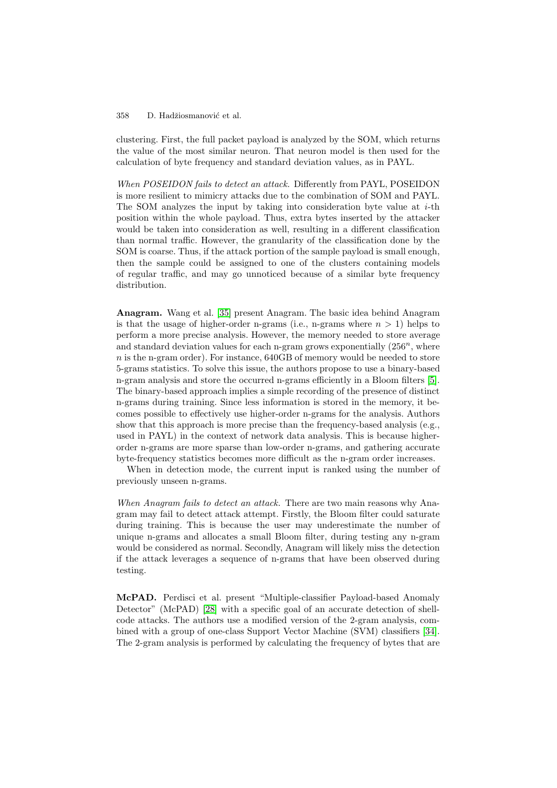clustering. First, the full packet payload is analyzed by the SOM, which returns the value of the most similar neuron. That neuron model is then used for the calculation of byte frequency and standard deviation values, as in PAYL.

*When POSEIDON fails to detect an attack.* Differently from PAYL, POSEIDON is more resilient to mimicry attacks due to the combination of SOM and PAYL. The SOM analyzes the input by taking into consideration byte value at *i*-th position within the whole payload. Thus, extra bytes inserted by the attacker would be taken into consideration as well, resulting in a different classification than normal traffic. However, the granularity of the classification done by the SOM is coarse. Thus, if the attack portion of the sample payload is small enough, then the sample could be assigned to one of the clusters containing models of regular traffic, and may go unnoticed because of a similar byte frequency distribution.

**Anagram.** Wang et al. [\[35\]](#page-19-3) present Anagram. The basic idea behind Anagram is that the usage of higher-order n-grams (i.e., n-grams where  $n > 1$ ) helps to perform a more precise analysis. However, the memory needed to store average and standard deviation values for each n-gram grows exponentially  $(256^n,$  where  $n$  is the n-gram order). For instance,  $640GB$  of memory would be needed to store 5-grams statistics. To solve this issue, the authors propose to use a binary-based n-gram analysis and store the occurred n-grams efficiently in a Bloom filters [\[5\]](#page-18-9). The binary-based approach implies a simple recording of the presence of distinct n-grams during training. Since less information is stored in the memory, it becomes possible to effectively use higher-order n-grams for the analysis. Authors show that this approach is more precise than the frequency-based analysis (e.g., used in PAYL) in the context of network data analysis. This is because higherorder n-grams are more sparse than low-order n-grams, and gathering accurate byte-frequency statistics becomes more difficult as the n-gram order increases.

When in detection mode, the current input is ranked using the number of previously unseen n-grams.

*When Anagram fails to detect an attack.* There are two main reasons why Anagram may fail to detect attack attempt. Firstly, the Bloom filter could saturate during training. This is because the user may underestimate the number of unique n-grams and allocates a small Bloom filter, during testing any n-gram would be considered as normal. Secondly, Anagram will likely miss the detection if the attack leverages a sequence of n-grams that have been observed during testing.

**McPAD.** Perdisci et al. present "Multiple-classifier Payload-based Anomaly Detector" (McPAD) [\[28\]](#page-19-5) with a specific goal of an accurate detection of shellcode attacks. The authors use a modified version of the 2-gram analysis, combined with a group of one-class Support Vector Machine (SVM) classifiers [\[34\]](#page-19-6). The 2-gram analysis is performed by calculating the frequency of bytes that are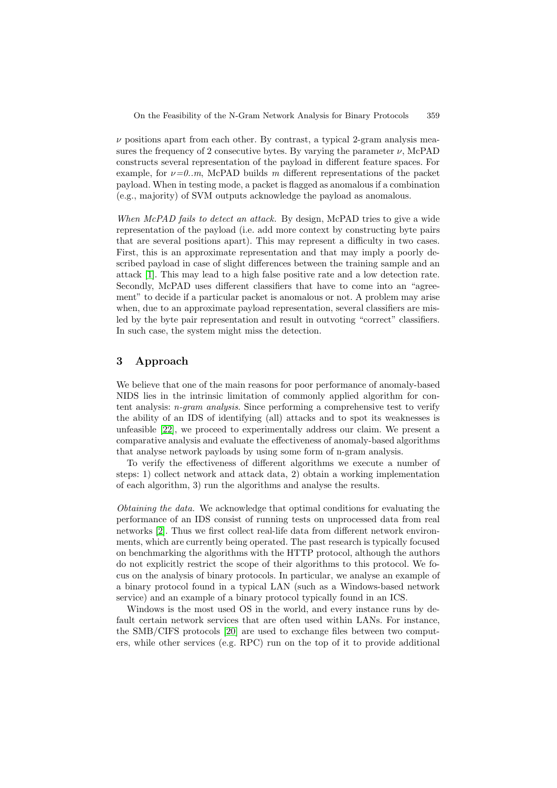$\nu$  positions apart from each other. By contrast, a typical 2-gram analysis measures the frequency of 2 consecutive bytes. By varying the parameter  $\nu$ , McPAD constructs several representation of the payload in different feature spaces. For example, for  $\nu = 0..m$ , McPAD builds m different representations of the packet payload. When in testing mode, a packet is flagged as anomalous if a combination (e.g., majority) of SVM outputs acknowledge the payload as anomalous.

*When McPAD fails to detect an attack.* By design, McPAD tries to give a wide representation of the payload (i.e. add more context by constructing byte pairs that are several positions apart). This may represent a difficulty in two cases. First, this is an approximate representation and that may imply a poorly described payload in case of slight differences between the training sample and an attack [\[1\]](#page-17-1). This may lead to a high false positive rate and a low detection rate. Secondly, McPAD uses different classifiers that have to come into an "agreement" to decide if a particular packet is anomalous or not. A problem may arise when, due to an approximate payload representation, several classifiers are misled by the byte pair representation and result in outvoting "correct" classifiers. In such case, the system might miss the detection.

# **3 Approach**

We believe that one of the main reasons for poor performance of anomaly-based NIDS lies in the intrinsic limitation of commonly applied algorithm for content analysis: *n-gram analysis*. Since performing a comprehensive test to verify the ability of an IDS of identifying (all) attacks and to spot its weaknesses is unfeasible [\[22\]](#page-19-7), we proceed to experimentally address our claim. We present a comparative analysis and evaluate the effectiveness of anomaly-based algorithms that analyse network payloads by using some form of n-gram analysis.

To verify the effectiveness of different algorithms we execute a number of steps: 1) collect network and attack data, 2) obtain a working implementation of each algorithm, 3) run the algorithms and analyse the results.

*Obtaining the data.* We acknowledge that optimal conditions for evaluating the performance of an IDS consist of running tests on unprocessed data from real networks [\[2\]](#page-17-2). Thus we first collect real-life data from different network environments, which are currently being operated. The past research is typically focused on benchmarking the algorithms with the HTTP protocol, although the authors do not explicitly restrict the scope of their algorithms to this protocol. We focus on the analysis of binary protocols. In particular, we analyse an example of a binary protocol found in a typical LAN (such as a Windows-based network service) and an example of a binary protocol typically found in an ICS.

Windows is the most used OS in the world, and every instance runs by default certain network services that are often used within LANs. For instance, the SMB/CIFS protocols [\[20\]](#page-18-10) are used to exchange files between two computers, while other services (e.g. RPC) run on the top of it to provide additional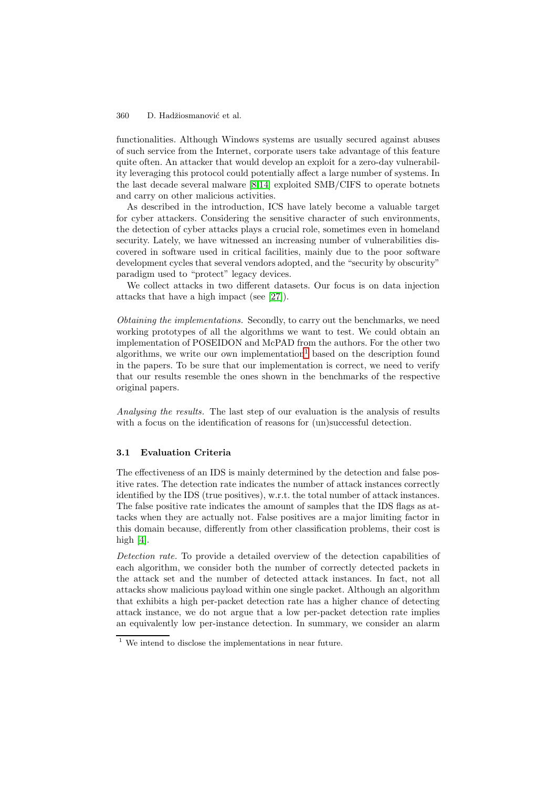functionalities. Although Windows systems are usually secured against abuses of such service from the Internet, corporate users take advantage of this feature quite often. An attacker that would develop an exploit for a zero-day vulnerability leveraging this protocol could potentially affect a large number of systems. In the last decade several malware [\[8](#page-18-11)[,14\]](#page-18-0) exploited SMB/CIFS to operate botnets and carry on other malicious activities.

As described in the introduction, ICS have lately become a valuable target for cyber attackers. Considering the sensitive character of such environments, the detection of cyber attacks plays a crucial role, sometimes even in homeland security. Lately, we have witnessed an increasing number of vulnerabilities discovered in software used in critical facilities, mainly due to the poor software development cycles that several vendors adopted, and the "security by obscurity" paradigm used to "protect" legacy devices.

We collect attacks in two different datasets. Our focus is on data injection attacks that have a high impact (see [\[27\]](#page-19-8)).

*Obtaining the implementations.* Secondly, to carry out the benchmarks, we need working prototypes of all the algorithms we want to test. We could obtain an implementation of POSEIDON and McPAD from the authors. For the other two algorithms, we write our own implementation<sup>[1](#page-6-0)</sup> based on the description found in the papers. To be sure that our implementation is correct, we need to verify that our results resemble the ones shown in the benchmarks of the respective original papers.

*Analysing the results.* The last step of our evaluation is the analysis of results with a focus on the identification of reasons for  $(m)$ successful detection.

## **3.1 Evaluation Criteria**

The effectiveness of an IDS is mainly determined by the detection and false positive rates. The detection rate indicates the number of attack instances correctly identified by the IDS (true positives), w.r.t. the total number of attack instances. The false positive rate indicates the amount of samples that the IDS flags as attacks when they are actually not. False positives are a major limiting factor in this domain because, differently from other classification problems, their cost is high  $[4]$ .

*Detection rate.* To provide a detailed overview of the detection capabilities of each algorithm, we consider both the number of correctly detected packets in the attack set and the number of detected attack instances. In fact, not all attacks show malicious payload within one single packet. Although an algorithm that exhibits a high per-packet detection rate has a higher chance of detecting attack instance, we do not argue that a low per-packet detection rate implies an equivalently low per-instance detection. In summary, we consider an alarm

<span id="page-6-0"></span> $1$  We intend to disclose the implementations in near future.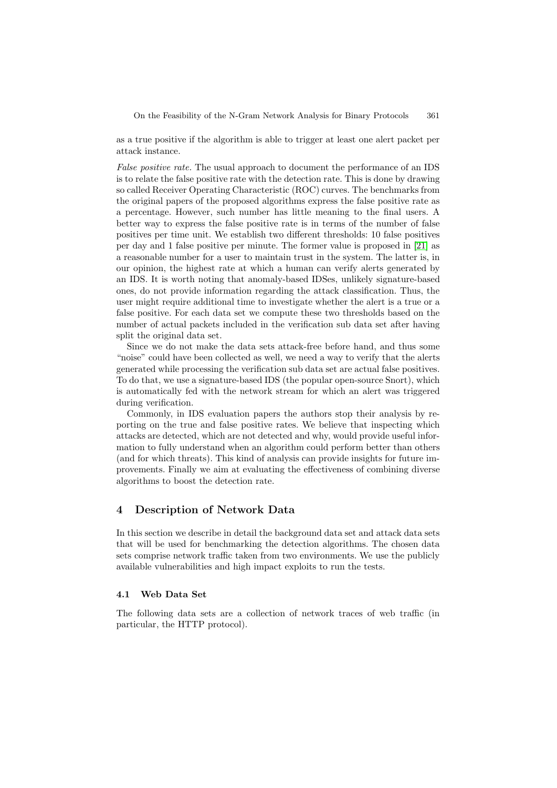as a true positive if the algorithm is able to trigger at least one alert packet per attack instance.

*False positive rate.* The usual approach to document the performance of an IDS is to relate the false positive rate with the detection rate. This is done by drawing so called Receiver Operating Characteristic (ROC) curves. The benchmarks from the original papers of the proposed algorithms express the false positive rate as a percentage. However, such number has little meaning to the final users. A better way to express the false positive rate is in terms of the number of false positives per time unit. We establish two different thresholds: 10 false positives per day and 1 false positive per minute. The former value is proposed in [\[21\]](#page-18-13) as a reasonable number for a user to maintain trust in the system. The latter is, in our opinion, the highest rate at which a human can verify alerts generated by an IDS. It is worth noting that anomaly-based IDSes, unlikely signature-based ones, do not provide information regarding the attack classification. Thus, the user might require additional time to investigate whether the alert is a true or a false positive. For each data set we compute these two thresholds based on the number of actual packets included in the verification sub data set after having split the original data set.

Since we do not make the data sets attack-free before hand, and thus some "noise" could have been collected as well, we need a way to verify that the alerts generated while processing the verification sub data set are actual false positives. To do that, we use a signature-based IDS (the popular open-source Snort), which is automatically fed with the network stream for which an alert was triggered during verification.

Commonly, in IDS evaluation papers the authors stop their analysis by reporting on the true and false positive rates. We believe that inspecting which attacks are detected, which are not detected and why, would provide useful information to fully understand when an algorithm could perform better than others (and for which threats). This kind of analysis can provide insights for future improvements. Finally we aim at evaluating the effectiveness of combining diverse algorithms to boost the detection rate.

# **4 Description of Network Data**

In this section we describe in detail the background data set and attack data sets that will be used for benchmarking the detection algorithms. The chosen data sets comprise network traffic taken from two environments. We use the publicly available vulnerabilities and high impact exploits to run the tests.

### **4.1 Web Data Set**

The following data sets are a collection of network traces of web traffic (in particular, the HTTP protocol).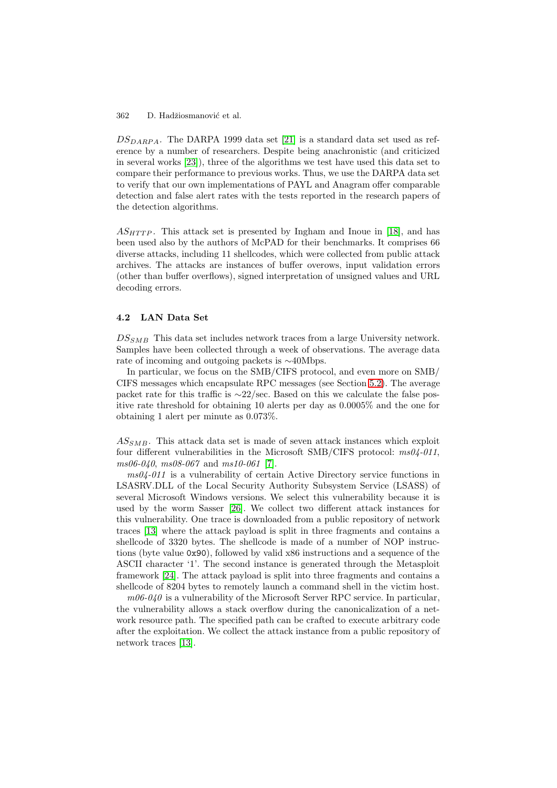$DS<sub>DARPA</sub>$ . The DARPA 1999 data set [\[21\]](#page-18-13) is a standard data set used as reference by a number of researchers. Despite being anachronistic (and criticized in several works [\[23\]](#page-19-9)), three of the algorithms we test have used this data set to compare their performance to previous works. Thus, we use the DARPA data set to verify that our own implementations of PAYL and Anagram offer comparable detection and false alert rates with the tests reported in the research papers of the detection algorithms.

 $AS_{HTTP}$ . This attack set is presented by Ingham and Inoue in [\[18\]](#page-18-14), and has been used also by the authors of McPAD for their benchmarks. It comprises 66 diverse attacks, including 11 shellcodes, which were collected from public attack archives. The attacks are instances of buffer overows, input validation errors (other than buffer overflows), signed interpretation of unsigned values and URL decoding errors.

## **4.2 LAN Data Set**

 $DS_{SMB}$  This data set includes network traces from a large University network. Samples have been collected through a week of observations. The average data rate of incoming and outgoing packets is ∼40Mbps.

In particular, we focus on the SMB/CIFS protocol, and even more on SMB/ CIFS messages which encapsulate RPC messages (see Section [5.2\)](#page-11-0). The average packet rate for this traffic is ∼22/sec. Based on this we calculate the false positive rate threshold for obtaining 10 alerts per day as 0.0005% and the one for obtaining 1 alert per minute as 0.073%.

ASSMB*.* This attack data set is made of seven attack instances which exploit four different vulnerabilities in the Microsoft SMB/CIFS protocol: *ms04-011*, *ms06-040*, *ms08-067* and *ms10-061* [\[7\]](#page-18-15).

 $ms04-011$  is a vulnerability of certain Active Directory service functions in LSASRV.DLL of the Local Security Authority Subsystem Service (LSASS) of several Microsoft Windows versions. We select this vulnerability because it is used by the worm Sasser [\[26\]](#page-19-10). We collect two different attack instances for this vulnerability. One trace is downloaded from a public repository of network traces [\[13\]](#page-18-16) where the attack payload is split in three fragments and contains a shellcode of 3320 bytes. The shellcode is made of a number of NOP instructions (byte value 0x90), followed by valid x86 instructions and a sequence of the ASCII character '1'. The second instance is generated through the Metasploit framework [\[24\]](#page-19-11). The attack payload is split into three fragments and contains a shellcode of 8204 bytes to remotely launch a command shell in the victim host.

 $m06-040$  is a vulnerability of the Microsoft Server RPC service. In particular, the vulnerability allows a stack overflow during the canonicalization of a network resource path. The specified path can be crafted to execute arbitrary code after the exploitation. We collect the attack instance from a public repository of network traces [\[13\]](#page-18-16).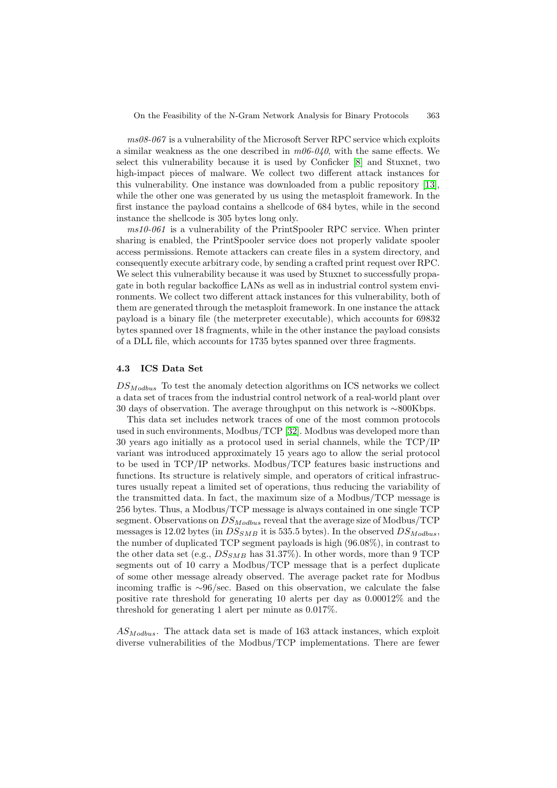$ms08-067$  is a vulnerability of the Microsoft Server RPC service which exploits a similar weakness as the one described in *m06-040*, with the same effects. We select this vulnerability because it is used by Conficker [\[8\]](#page-18-11) and Stuxnet, two high-impact pieces of malware. We collect two different attack instances for this vulnerability. One instance was downloaded from a public repository [\[13\]](#page-18-16), while the other one was generated by us using the metasploit framework. In the first instance the payload contains a shellcode of 684 bytes, while in the second instance the shellcode is 305 bytes long only.

*ms10-061* is a vulnerability of the PrintSpooler RPC service. When printer sharing is enabled, the PrintSpooler service does not properly validate spooler access permissions. Remote attackers can create files in a system directory, and consequently execute arbitrary code, by sending a crafted print request over RPC. We select this vulnerability because it was used by Stuxnet to successfully propagate in both regular backoffice LANs as well as in industrial control system environments. We collect two different attack instances for this vulnerability, both of them are generated through the metasploit framework. In one instance the attack payload is a binary file (the meterpreter executable), which accounts for 69832 bytes spanned over 18 fragments, while in the other instance the payload consists of a DLL file, which accounts for 1735 bytes spanned over three fragments.

# **4.3 ICS Data Set**

 $DS_{Modbus}$  To test the anomaly detection algorithms on ICS networks we collect a data set of traces from the industrial control network of a real-world plant over 30 days of observation. The average throughput on this network is ∼800Kbps.

This data set includes network traces of one of the most common protocols used in such environments, Modbus/TCP [\[32\]](#page-19-12). Modbus was developed more than 30 years ago initially as a protocol used in serial channels, while the TCP/IP variant was introduced approximately 15 years ago to allow the serial protocol to be used in TCP/IP networks. Modbus/TCP features basic instructions and functions. Its structure is relatively simple, and operators of critical infrastructures usually repeat a limited set of operations, thus reducing the variability of the transmitted data. In fact, the maximum size of a Modbus/TCP message is 256 bytes. Thus, a Modbus/TCP message is always contained in one single TCP segment. Observations on  $DS_{Modbus}$  reveal that the average size of Modbus/TCP messages is 12.02 bytes (in  $DS_{SMB}$  it is 535.5 bytes). In the observed  $DS_{Modbus}$ , the number of duplicated TCP segment payloads is high (96.08%), in contrast to the other data set (e.g.,  $DS_{SMB}$  has 31.37%). In other words, more than 9 TCP segments out of 10 carry a Modbus/TCP message that is a perfect duplicate of some other message already observed. The average packet rate for Modbus incoming traffic is ∼96/sec. Based on this observation, we calculate the false positive rate threshold for generating 10 alerts per day as 0.00012% and the threshold for generating 1 alert per minute as 0.017%.

AS<sub>Modbus</sub>. The attack data set is made of 163 attack instances, which exploit diverse vulnerabilities of the Modbus/TCP implementations. There are fewer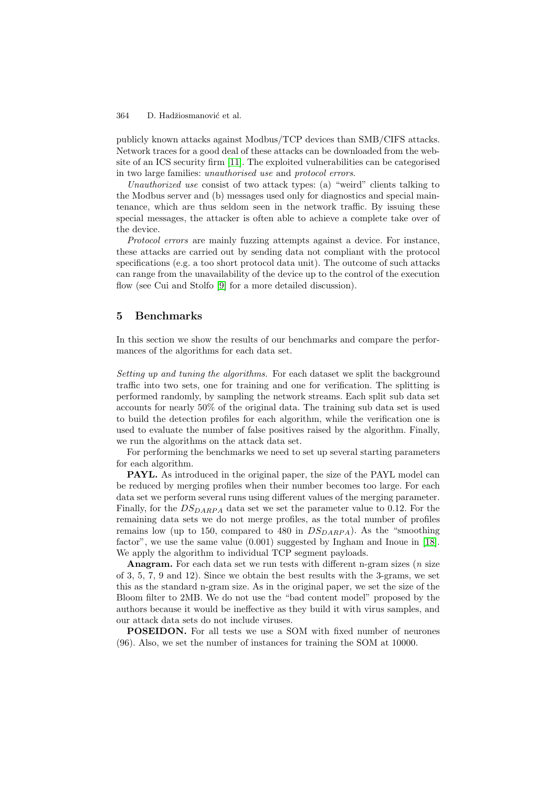publicly known attacks against Modbus/TCP devices than SMB/CIFS attacks. Network traces for a good deal of these attacks can be downloaded from the website of an ICS security firm [\[11\]](#page-18-17). The exploited vulnerabilities can be categorised in two large families: *unauthorised use* and *protocol errors*.

*Unauthorized use* consist of two attack types: (a) "weird" clients talking to the Modbus server and (b) messages used only for diagnostics and special maintenance, which are thus seldom seen in the network traffic. By issuing these special messages, the attacker is often able to achieve a complete take over of the device.

*Protocol errors* are mainly fuzzing attempts against a device. For instance, these attacks are carried out by sending data not compliant with the protocol specifications (e.g. a too short protocol data unit). The outcome of such attacks can range from the unavailability of the device up to the control of the execution flow (see Cui and Stolfo [\[9\]](#page-18-18) for a more detailed discussion).

## **5 Benchmarks**

In this section we show the results of our benchmarks and compare the performances of the algorithms for each data set.

*Setting up and tuning the algorithms.* For each dataset we split the background traffic into two sets, one for training and one for verification. The splitting is performed randomly, by sampling the network streams. Each split sub data set accounts for nearly 50% of the original data. The training sub data set is used to build the detection profiles for each algorithm, while the verification one is used to evaluate the number of false positives raised by the algorithm. Finally, we run the algorithms on the attack data set.

For performing the benchmarks we need to set up several starting parameters for each algorithm.

**PAYL.** As introduced in the original paper, the size of the PAYL model can be reduced by merging profiles when their number becomes too large. For each data set we perform several runs using different values of the merging parameter. Finally, for the  $DS<sub>DARPA</sub>$  data set we set the parameter value to 0.12. For the remaining data sets we do not merge profiles, as the total number of profiles remains low (up to 150, compared to 480 in  $DS_{DARPA}$ ). As the "smoothing factor", we use the same value (0.001) suggested by Ingham and Inoue in [\[18\]](#page-18-14). We apply the algorithm to individual TCP segment payloads.

**Anagram.** For each data set we run tests with different n-gram sizes (*n* size of 3, 5, 7, 9 and 12). Since we obtain the best results with the 3-grams, we set this as the standard n-gram size. As in the original paper, we set the size of the Bloom filter to 2MB. We do not use the "bad content model" proposed by the authors because it would be ineffective as they build it with virus samples, and our attack data sets do not include viruses.

**POSEIDON.** For all tests we use a SOM with fixed number of neurones (96). Also, we set the number of instances for training the SOM at 10000.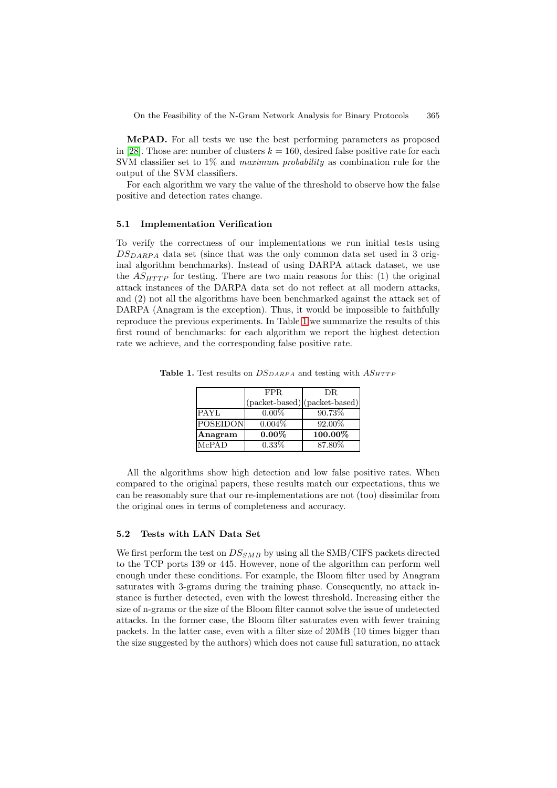**McPAD.** For all tests we use the best performing parameters as proposed in [\[28\]](#page-19-5). Those are: number of clusters  $k = 160$ , desired false positive rate for each SVM classifier set to 1% and *maximum probability* as combination rule for the output of the SVM classifiers.

For each algorithm we vary the value of the threshold to observe how the false positive and detection rates change.

#### **5.1 Implementation Verification**

To verify the correctness of our implementations we run initial tests using  $DS_{DARPA}$  data set (since that was the only common data set used in 3 original algorithm benchmarks). Instead of using DARPA attack dataset, we use the  $AS_{HTTP}$  for testing. There are two main reasons for this: (1) the original attack instances of the DARPA data set do not reflect at all modern attacks, and (2) not all the algorithms have been benchmarked against the attack set of DARPA (Anagram is the exception). Thus, it would be impossible to faithfully reproduce the previous experiments. In Table [1](#page-11-1) we summarize the results of this first round of benchmarks: for each algorithm we report the highest detection rate we achieve, and the corresponding false positive rate.

|  |  |  |  |  | <b>Table 1.</b> Test results on $DS_{DARPA}$ and testing with $AS_{HTTP}$ |  |
|--|--|--|--|--|---------------------------------------------------------------------------|--|
|  |  |  |  |  |                                                                           |  |

<span id="page-11-1"></span>

|                 | FPR.      | DR.                           |
|-----------------|-----------|-------------------------------|
|                 |           | (packet-based) (packet-based) |
| <b>PAYL</b>     | $0.00\%$  | 90.73%                        |
| <b>POSEIDON</b> | $0.004\%$ | 92.00%                        |
| Anagram         | $0.00\%$  | 100.00%                       |
| McPAD           | $0.33\%$  | 87.80%                        |

All the algorithms show high detection and low false positive rates. When compared to the original papers, these results match our expectations, thus we can be reasonably sure that our re-implementations are not (too) dissimilar from the original ones in terms of completeness and accuracy.

#### <span id="page-11-0"></span>**5.2 Tests with LAN Data Set**

We first perform the test on  $DS_{SMB}$  by using all the SMB/CIFS packets directed to the TCP ports 139 or 445. However, none of the algorithm can perform well enough under these conditions. For example, the Bloom filter used by Anagram saturates with 3-grams during the training phase. Consequently, no attack instance is further detected, even with the lowest threshold. Increasing either the size of n-grams or the size of the Bloom filter cannot solve the issue of undetected attacks. In the former case, the Bloom filter saturates even with fewer training packets. In the latter case, even with a filter size of 20MB (10 times bigger than the size suggested by the authors) which does not cause full saturation, no attack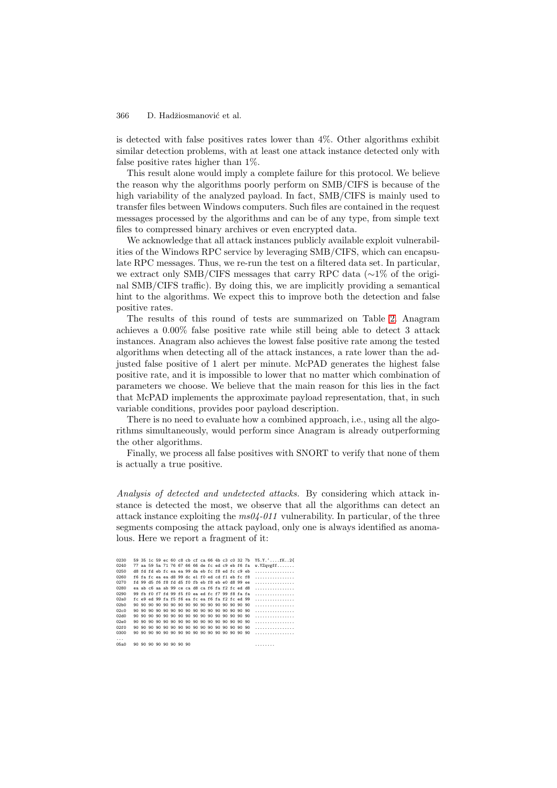is detected with false positives rates lower than 4%. Other algorithms exhibit similar detection problems, with at least one attack instance detected only with false positive rates higher than 1%.

This result alone would imply a complete failure for this protocol. We believe the reason why the algorithms poorly perform on SMB/CIFS is because of the high variability of the analyzed payload. In fact, SMB/CIFS is mainly used to transfer files between Windows computers. Such files are contained in the request messages processed by the algorithms and can be of any type, from simple text files to compressed binary archives or even encrypted data.

We acknowledge that all attack instances publicly available exploit vulnerabilities of the Windows RPC service by leveraging SMB/CIFS, which can encapsulate RPC messages. Thus, we re-run the test on a filtered data set. In particular, we extract only SMB/CIFS messages that carry RPC data (∼1% of the original SMB/CIFS traffic). By doing this, we are implicitly providing a semantical hint to the algorithms. We expect this to improve both the detection and false positive rates.

The results of this round of tests are summarized on Table [2.](#page-13-0) Anagram achieves a 0.00% false positive rate while still being able to detect 3 attack instances. Anagram also achieves the lowest false positive rate among the tested algorithms when detecting all of the attack instances, a rate lower than the adjusted false positive of 1 alert per minute. McPAD generates the highest false positive rate, and it is impossible to lower that no matter which combination of parameters we choose. We believe that the main reason for this lies in the fact that McPAD implements the approximate payload representation, that, in such variable conditions, provides poor payload description.

There is no need to evaluate how a combined approach, i.e., using all the algorithms simultaneously, would perform since Anagram is already outperforming the other algorithms.

Finally, we process all false positives with SNORT to verify that none of them is actually a true positive.

*Analysis of detected and undetected attacks.* By considering which attack instance is detected the most, we observe that all the algorithms can detect an attack instance exploiting the  $ms04-011$  vulnerability. In particular, of the three segments composing the attack payload, only one is always identified as anomalous. Here we report a fragment of it:

| 0230              |  |  |                                                 |  |  |  |  | 59 35 1c 59 ec 60 c8 cb cf ca 66 4b c3 c0 32 7b | $Y5.Y.'$ $fK.2f$ |  |  |  |
|-------------------|--|--|-------------------------------------------------|--|--|--|--|-------------------------------------------------|------------------|--|--|--|
| 0240              |  |  | 77 aa 59 5a 71 76 67 66 66 de fc ed c9 eb f6 fa |  |  |  |  |                                                 | w.YZqvgff        |  |  |  |
| 0250              |  |  | d8 fd fd eb fc ea ea 99 da eb fc f8 ed fc c9 eb |  |  |  |  |                                                 | .                |  |  |  |
| 0260              |  |  | f6 fa fc ea ea d8 99 dc e1 f0 ed cd f1 eb fc f8 |  |  |  |  |                                                 | .                |  |  |  |
| 0270              |  |  | fd 99 d5 f6 f8 fd d5 f0 fb eb f8 eb e0 d8 99 ee |  |  |  |  |                                                 | .                |  |  |  |
| 0280              |  |  | ea ab c6 aa ab 99 ce ca d8 ca f6 fa f2 fc ed d8 |  |  |  |  |                                                 | .                |  |  |  |
| 0290              |  |  | 99 fb f0 f7 fd 99 f5 f0 ea ed fc f7 99 f8 fa fa |  |  |  |  |                                                 | .                |  |  |  |
| 02a0              |  |  | fc e9 ed 99 fa f5 f6 ea fc ea f6 fa f2 fc ed 99 |  |  |  |  |                                                 | .                |  |  |  |
| 02 <sub>b</sub> 0 |  |  |                                                 |  |  |  |  |                                                 | .                |  |  |  |
| 02c0              |  |  |                                                 |  |  |  |  |                                                 | .                |  |  |  |
| 02d <sub>0</sub>  |  |  |                                                 |  |  |  |  |                                                 | .                |  |  |  |
| 02e0              |  |  |                                                 |  |  |  |  |                                                 | .                |  |  |  |
| 02f0              |  |  |                                                 |  |  |  |  |                                                 | .                |  |  |  |
| 0300              |  |  |                                                 |  |  |  |  |                                                 | .                |  |  |  |
| $\cdots$          |  |  |                                                 |  |  |  |  |                                                 |                  |  |  |  |
| 05a0              |  |  | 90 90 90 90 90 90 90 90                         |  |  |  |  |                                                 | .                |  |  |  |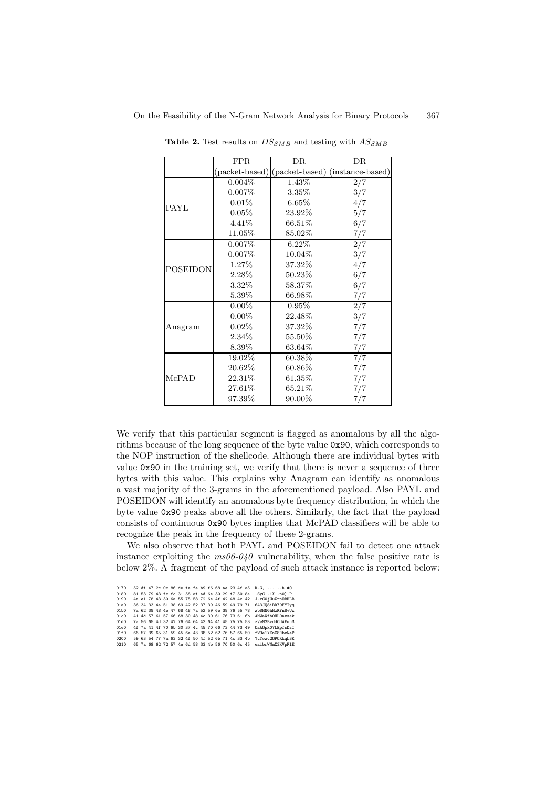|                 | <b>FPR</b> | DR.      | DR.                                            |
|-----------------|------------|----------|------------------------------------------------|
|                 |            |          | (packet-based) (packet-based) (instance-based) |
|                 | $0.004\%$  | $1.43\%$ | 2/7                                            |
|                 | $0.007\%$  | $3.35\%$ | 3/7                                            |
| <b>PAYL</b>     | 0.01%      | 6.65%    | 4/7                                            |
|                 | 0.05%      | 23.92\%  | 5/7                                            |
|                 | 4.41\%     | 66.51%   | 6/7                                            |
|                 | 11.05%     | 85.02%   | 7/7                                            |
|                 | $0.007\%$  | $6.22\%$ | 2/7                                            |
|                 | $0.007\%$  | 10.04%   | 3/7                                            |
| <b>POSEIDON</b> | 1.27%      | 37.32%   | 4/7                                            |
|                 | 2.28\%     | 50.23%   | 6/7                                            |
|                 | 3.32%      | 58.37%   | 6/7                                            |
|                 | 5.39%      | 66.98%   | 7/7                                            |
|                 | $0.00\%$   | 0.95%    | $\overline{2/7}$                               |
|                 | $0.00\%$   | 22.48%   | 3/7                                            |
| Anagram         | $0.02\%$   | 37.32%   | 7/7                                            |
|                 | $2.34\%$   | 55.50%   | 7/7                                            |
|                 | 8.39%      | 63.64\%  | 7/7                                            |
|                 | 19.02%     | 60.38%   | 7/7                                            |
|                 | 20.62%     | 60.86%   | 7/7                                            |
| McPAD           | 22.31\%    | 61.35%   | 7/7                                            |
|                 | 27.61%     | 65.21\%  | 7/7                                            |
|                 | 97.39%     | 90.00%   | 7/7                                            |

<span id="page-13-0"></span>Table 2. Test results on  $DS_{SMB}$  and testing with  $AS_{SMB}$ 

We verify that this particular segment is flagged as anomalous by all the algorithms because of the long sequence of the byte value 0x90, which corresponds to the NOP instruction of the shellcode. Although there are individual bytes with value 0x90 in the training set, we verify that there is never a sequence of three bytes with this value. This explains why Anagram can identify as anomalous a vast majority of the 3-grams in the aforementioned payload. Also PAYL and POSEIDON will identify an anomalous byte frequency distribution, in which the byte value 0x90 peaks above all the others. Similarly, the fact that the payload consists of continuous 0x90 bytes implies that McPAD classifiers will be able to recognize the peak in the frequency of these 2-grams.

We also observe that both PAYL and POSEIDON fail to detect one attack instance exploiting the  $ms06-040$  vulnerability, when the false positive rate is below 2%. A fragment of the payload of such attack instance is reported below:

| 0170              |  |  |  |  |  |  |                                                 | 52 df 47 2c 0c 86 de fe fe b9 f6 68 ae 23 4f a5 | $R.G$ , h. #0.   |
|-------------------|--|--|--|--|--|--|-------------------------------------------------|-------------------------------------------------|------------------|
| 0180              |  |  |  |  |  |  | 81 53 79 43 fc fc 31 58 af ad 6e 30 29 f7 50 8a |                                                 | .SyC.1X.00).P.   |
| 0190              |  |  |  |  |  |  | 4a e1 78 43 30 6a 55 75 58 72 6e 4f 42 48 4c 42 |                                                 | J.xCOjUuXrnOBHLB |
| 01a0              |  |  |  |  |  |  | 36 34 33 4a 51 38 69 42 52 37 39 46 59 49 79 71 |                                                 | 643J08iBR79FYIvg |
| 01 <sub>b</sub> 0 |  |  |  |  |  |  | 7a 62 38 48 4e 47 68 48 7a 52 59 6e 38 76 55 78 |                                                 | zb8HNGhHzRYn8vUx |
| 01c0              |  |  |  |  |  |  | 41 4d 57 61 57 66 68 30 48 4c 30 61 76 73 61 6b |                                                 | AMWaWfhOHLOavsak |
| 01d0              |  |  |  |  |  |  | 7a 56 65 4d 32 42 76 64 64 43 64 41 45 75 75 53 |                                                 | zVeM2ByddCdAEmnS |
| 01e0              |  |  |  |  |  |  | 4f 7a 41 4f 70 6b 30 37 4c 45 70 66 73 44 73 49 |                                                 | OzAOpk07LEpfsDsI |
| 01f0              |  |  |  |  |  |  | 66 57 39 65 31 59 45 6e 43 38 52 62 76 57 65 50 |                                                 | fW9e1YEnC8RbvWeP |
| 0200              |  |  |  |  |  |  | 59 63 54 77 7a 63 32 4f 50 4f 52 6b 71 4c 33 4b |                                                 | YcTwzc20P0RkgL3K |
| 0210              |  |  |  |  |  |  | 65 7a 69 62 72 57 4e 6d 58 33 4b 56 70 50 6c 45 |                                                 | ezibrWNmX3KVpP1E |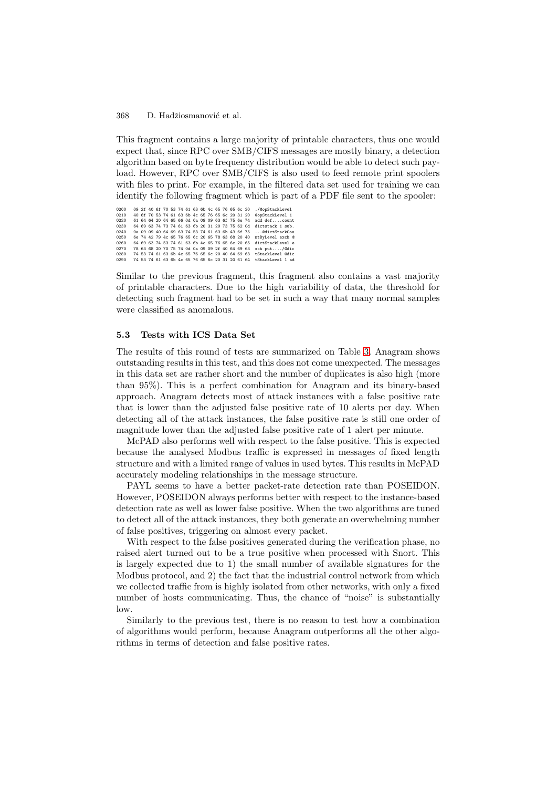This fragment contains a large majority of printable characters, thus one would expect that, since RPC over SMB/CIFS messages are mostly binary, a detection algorithm based on byte frequency distribution would be able to detect such payload. However, RPC over SMB/CIFS is also used to feed remote print spoolers with files to print. For example, in the filtered data set used for training we can identify the following fragment which is part of a PDF file sent to the spooler:

0200 09 2f 40 6f 70 53 74 61 63 6b 4c 65 76 65 6c 20 ./@opStackLevel<br>0210 40 6f 70 53 74 61 63 6b 4c 65 76 65 6c 20 31 20 @opStackLevel 1<br>0220 61 64 64 20 64 65 66 0d 0a 09 09 63 6f 75 6e 74 add def....count<br>0230 64 69 63 0240 0a 09 09 40 64 69 63 74 53 74 61 63 6b 43 6f 75 ...@dictStackCou 0250 6e 74 42 79 4c 65 76 65 6c 20 65 78 63 68 20 40 ntByLevel exch @ 0260 64 69 63 74 53 74 61 63 6b 4c 65 76 65 6c 20 65 dictStackLevel e<br>0270 78 63 68 20 70 75 74 04 04 04 05 09 2f 40 64 69 63 xch put.../A8ico<br>0280 74 53 74 61 63 6b 4c 65 76 65 6c 20 40 64 69 63 5 5 factlevel @dic 0270 78 63 68 20 70 75 74 0d 0a 09 09 2f 40 64 69 63 xch put..../@dic 0280 74 53 74 61 63 6b 4c 65 76 65 6c 20 40 64 69 63 tStackLevel @dic 0290 74 53 74 61 63 6b 4c 65 76 65 6c 20 31 20 61 64 tStackLevel 1 ad

Similar to the previous fragment, this fragment also contains a vast majority of printable characters. Due to the high variability of data, the threshold for detecting such fragment had to be set in such a way that many normal samples were classified as anomalous.

#### **5.3 Tests with ICS Data Set**

The results of this round of tests are summarized on Table [3.](#page-15-0) Anagram shows outstanding results in this test, and this does not come unexpected. The messages in this data set are rather short and the number of duplicates is also high (more than 95%). This is a perfect combination for Anagram and its binary-based approach. Anagram detects most of attack instances with a false positive rate that is lower than the adjusted false positive rate of 10 alerts per day. When detecting all of the attack instances, the false positive rate is still one order of magnitude lower than the adjusted false positive rate of 1 alert per minute.

McPAD also performs well with respect to the false positive. This is expected because the analysed Modbus traffic is expressed in messages of fixed length structure and with a limited range of values in used bytes. This results in McPAD accurately modeling relationships in the message structure.

PAYL seems to have a better packet-rate detection rate than POSEIDON. However, POSEIDON always performs better with respect to the instance-based detection rate as well as lower false positive. When the two algorithms are tuned to detect all of the attack instances, they both generate an overwhelming number of false positives, triggering on almost every packet.

With respect to the false positives generated during the verification phase, no raised alert turned out to be a true positive when processed with Snort. This is largely expected due to 1) the small number of available signatures for the Modbus protocol, and 2) the fact that the industrial control network from which we collected traffic from is highly isolated from other networks, with only a fixed number of hosts communicating. Thus, the chance of "noise" is substantially low.

Similarly to the previous test, there is no reason to test how a combination of algorithms would perform, because Anagram outperforms all the other algorithms in terms of detection and false positive rates.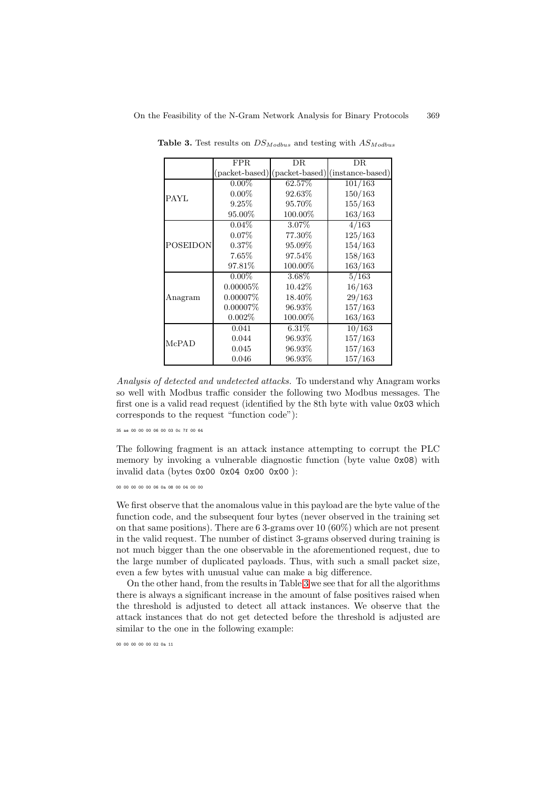<span id="page-15-0"></span>

|                 | <b>FPR</b>  | <b>DR</b>                        | DR               |  |  |  |
|-----------------|-------------|----------------------------------|------------------|--|--|--|
|                 |             | $(packet-based) (packet-based) $ | (instance-based) |  |  |  |
|                 | $0.00\%$    | 62.57%                           | 101/163          |  |  |  |
| <b>PAYL</b>     | $0.00\%$    | 92.63%                           | 150/163          |  |  |  |
|                 | 9.25%       | 95.70%                           | 155/163          |  |  |  |
|                 | 95.00%      | 100.00%                          | 163/163          |  |  |  |
|                 | $0.04\%$    | 3.07%                            | 4/163            |  |  |  |
|                 | $0.07\%$    | 77.30%                           | 125/163          |  |  |  |
| <b>POSEIDON</b> | $0.37\%$    | 95.09%                           | 154/163          |  |  |  |
|                 | 7.65%       | 97.54%                           | 158/163          |  |  |  |
|                 | 97.81%      | 100.00%                          | 163/163          |  |  |  |
|                 | $0.00\%$    | 3.68%                            | 5/163            |  |  |  |
|                 | $0.00005\%$ | 10.42\%                          | 16/163           |  |  |  |
| Anagram         | $0.00007\%$ | 18.40%                           | 29/163           |  |  |  |
|                 | $0.00007\%$ | 96.93%                           | 157/163          |  |  |  |
|                 | 0.002%      | 100.00%                          | 163/163          |  |  |  |
|                 | 0.041       | $6.31\%$                         | 10/163           |  |  |  |
| McPAD           | 0.044       | 96.93%                           | 157/163          |  |  |  |
|                 | 0.045       | 96.93%                           | 157/163          |  |  |  |
|                 | 0.046       | 96.93%                           | 157/163          |  |  |  |

Table 3. Test results on  $DS_{Modbus}$  and testing with  $AS_{Modbus}$ 

*Analysis of detected and undetected attacks.* To understand why Anagram works so well with Modbus traffic consider the following two Modbus messages. The first one is a valid read request (identified by the 8th byte with value 0x03 which corresponds to the request "function code"):

35 ae 00 00 00 06 00 03 0c 7f 00 64

The following fragment is an attack instance attempting to corrupt the PLC memory by invoking a vulnerable diagnostic function (byte value 0x08) with invalid data (bytes 0x00 0x04 0x00 0x00 ):

00 00 00 00 00 06 0a 08 00 04 00 00

We first observe that the anomalous value in this payload are the byte value of the function code, and the subsequent four bytes (never observed in the training set on that same positions). There are 6 3-grams over 10 (60%) which are not present in the valid request. The number of distinct 3-grams observed during training is not much bigger than the one observable in the aforementioned request, due to the large number of duplicated payloads. Thus, with such a small packet size, even a few bytes with unusual value can make a big difference.

On the other hand, from the results in Table [3](#page-15-0) we see that for all the algorithms there is always a significant increase in the amount of false positives raised when the threshold is adjusted to detect all attack instances. We observe that the attack instances that do not get detected before the threshold is adjusted are similar to the one in the following example:

00 00 00 00 00 02 0a 11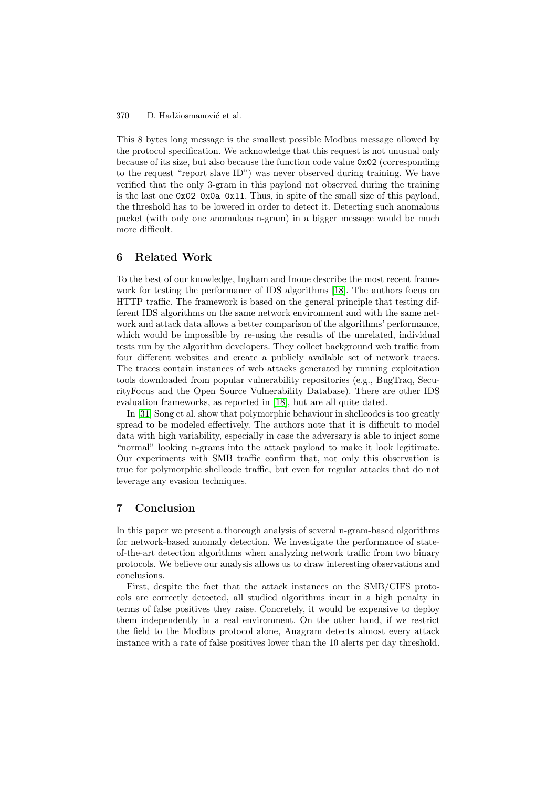This 8 bytes long message is the smallest possible Modbus message allowed by the protocol specification. We acknowledge that this request is not unusual only because of its size, but also because the function code value 0x02 (corresponding to the request "report slave ID") was never observed during training. We have verified that the only 3-gram in this payload not observed during the training is the last one  $0x02$   $0x0a$   $0x11$ . Thus, in spite of the small size of this payload, the threshold has to be lowered in order to detect it. Detecting such anomalous packet (with only one anomalous n-gram) in a bigger message would be much more difficult.

# <span id="page-16-0"></span>**6 Related Work**

To the best of our knowledge, Ingham and Inoue describe the most recent framework for testing the performance of IDS algorithms [\[18\]](#page-18-14). The authors focus on HTTP traffic. The framework is based on the general principle that testing different IDS algorithms on the same network environment and with the same network and attack data allows a better comparison of the algorithms' performance, which would be impossible by re-using the results of the unrelated, individual tests run by the algorithm developers. They collect background web traffic from four different websites and create a publicly available set of network traces. The traces contain instances of web attacks generated by running exploitation tools downloaded from popular vulnerability repositories (e.g., BugTraq, SecurityFocus and the Open Source Vulnerability Database). There are other IDS evaluation frameworks, as reported in [\[18\]](#page-18-14), but are all quite dated.

In [\[31\]](#page-19-13) Song et al. show that polymorphic behaviour in shellcodes is too greatly spread to be modeled effectively. The authors note that it is difficult to model data with high variability, especially in case the adversary is able to inject some "normal" looking n-grams into the attack payload to make it look legitimate. Our experiments with SMB traffic confirm that, not only this observation is true for polymorphic shellcode traffic, but even for regular attacks that do not leverage any evasion techniques.

# **7 Conclusion**

In this paper we present a thorough analysis of several n-gram-based algorithms for network-based anomaly detection. We investigate the performance of stateof-the-art detection algorithms when analyzing network traffic from two binary protocols. We believe our analysis allows us to draw interesting observations and conclusions.

First, despite the fact that the attack instances on the SMB/CIFS protocols are correctly detected, all studied algorithms incur in a high penalty in terms of false positives they raise. Concretely, it would be expensive to deploy them independently in a real environment. On the other hand, if we restrict the field to the Modbus protocol alone, Anagram detects almost every attack instance with a rate of false positives lower than the 10 alerts per day threshold.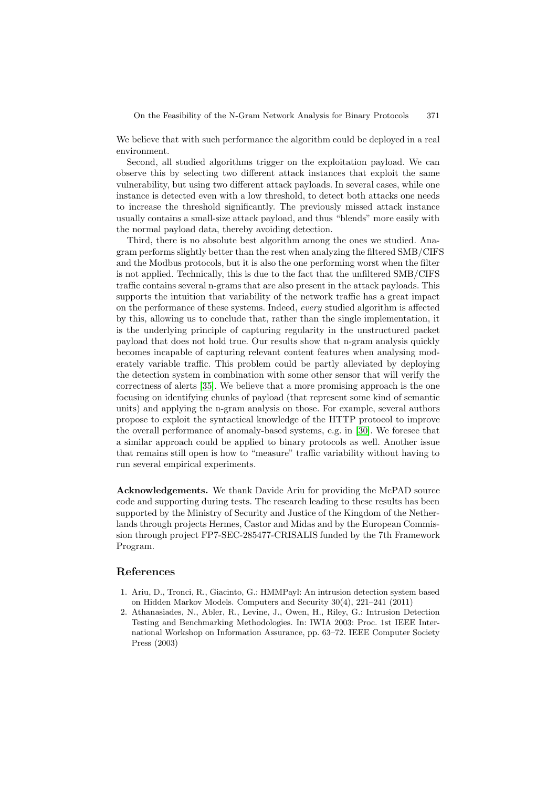We believe that with such performance the algorithm could be deployed in a real environment.

Second, all studied algorithms trigger on the exploitation payload. We can observe this by selecting two different attack instances that exploit the same vulnerability, but using two different attack payloads. In several cases, while one instance is detected even with a low threshold, to detect both attacks one needs to increase the threshold significantly. The previously missed attack instance usually contains a small-size attack payload, and thus "blends" more easily with the normal payload data, thereby avoiding detection.

Third, there is no absolute best algorithm among the ones we studied. Anagram performs slightly better than the rest when analyzing the filtered SMB/CIFS and the Modbus protocols, but it is also the one performing worst when the filter is not applied. Technically, this is due to the fact that the unfiltered SMB/CIFS traffic contains several n-grams that are also present in the attack payloads. This supports the intuition that variability of the network traffic has a great impact on the performance of these systems. Indeed, *every* studied algorithm is affected by this, allowing us to conclude that, rather than the single implementation, it is the underlying principle of capturing regularity in the unstructured packet payload that does not hold true. Our results show that n-gram analysis quickly becomes incapable of capturing relevant content features when analysing moderately variable traffic. This problem could be partly alleviated by deploying the detection system in combination with some other sensor that will verify the correctness of alerts [\[35\]](#page-19-3). We believe that a more promising approach is the one focusing on identifying chunks of payload (that represent some kind of semantic units) and applying the n-gram analysis on those. For example, several authors propose to exploit the syntactical knowledge of the HTTP protocol to improve the overall performance of anomaly-based systems, e.g. in [\[30\]](#page-19-14). We foresee that a similar approach could be applied to binary protocols as well. Another issue that remains still open is how to "measure" traffic variability without having to run several empirical experiments.

**Acknowledgements.** We thank Davide Ariu for providing the McPAD source code and supporting during tests. The research leading to these results has been supported by the Ministry of Security and Justice of the Kingdom of the Netherlands through projects Hermes, Castor and Midas and by the European Commission through project FP7-SEC-285477-CRISALIS funded by the 7th Framework Program.

# <span id="page-17-0"></span>**References**

- <span id="page-17-1"></span>1. Ariu, D., Tronci, R., Giacinto, G.: HMMPayl: An intrusion detection system based on Hidden Markov Models. Computers and Security 30(4), 221–241 (2011)
- <span id="page-17-2"></span>2. Athanasiades, N., Abler, R., Levine, J., Owen, H., Riley, G.: Intrusion Detection Testing and Benchmarking Methodologies. In: IWIA 2003: Proc. 1st IEEE International Workshop on Information Assurance, pp. 63–72. IEEE Computer Society Press (2003)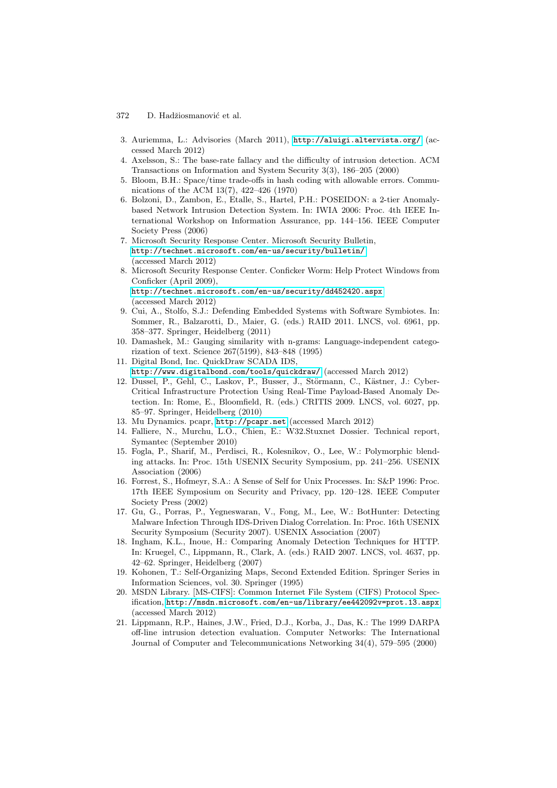- <span id="page-18-1"></span>3. Auriemma, L.: Advisories (March 2011), <http://aluigi.altervista.org/> (accessed March 2012)
- <span id="page-18-12"></span>4. Axelsson, S.: The base-rate fallacy and the difficulty of intrusion detection. ACM Transactions on Information and System Security 3(3), 186–205 (2000)
- <span id="page-18-9"></span>5. Bloom, B.H.: Space/time trade-offs in hash coding with allowable errors. Communications of the ACM 13(7), 422–426 (1970)
- <span id="page-18-5"></span>6. Bolzoni, D., Zambon, E., Etalle, S., Hartel, P.H.: POSEIDON: a 2-tier Anomalybased Network Intrusion Detection System. In: IWIA 2006: Proc. 4th IEEE International Workshop on Information Assurance, pp. 144–156. IEEE Computer Society Press (2006)
- <span id="page-18-15"></span>7. Microsoft Security Response Center. Microsoft Security Bulletin, <http://technet.microsoft.com/en-us/security/bulletin/> (accessed March 2012)
- <span id="page-18-11"></span>8. Microsoft Security Response Center. Conficker Worm: Help Protect Windows from Conficker (April 2009), <http://technet.microsoft.com/en-us/security/dd452420.aspx> (accessed March 2012)
- <span id="page-18-18"></span>9. Cui, A., Stolfo, S.J.: Defending Embedded Systems with Software Symbiotes. In: Sommer, R., Balzarotti, D., Maier, G. (eds.) RAID 2011. LNCS, vol. 6961, pp. 358–377. Springer, Heidelberg (2011)
- <span id="page-18-3"></span>10. Damashek, M.: Gauging similarity with n-grams: Language-independent categorization of text. Science 267(5199), 843–848 (1995)
- <span id="page-18-17"></span>11. Digital Bond, Inc. QuickDraw SCADA IDS, <http://www.digitalbond.com/tools/quickdraw/> (accessed March 2012)
- <span id="page-18-4"></span>12. Dussel, P., Gehl, C., Laskov, P., Busser, J., Störmann, C., Kästner, J.: Cyber-Critical Infrastructure Protection Using Real-Time Payload-Based Anomaly Detection. In: Rome, E., Bloomfield, R. (eds.) CRITIS 2009. LNCS, vol. 6027, pp. 85–97. Springer, Heidelberg (2010)
- <span id="page-18-16"></span><span id="page-18-0"></span>13. Mu Dynamics. pcapr, <http://pcapr.net> (accessed March 2012)
- 14. Falliere, N., Murchu, L.O., Chien, E.: W32.Stuxnet Dossier. Technical report, Symantec (September 2010)
- <span id="page-18-7"></span>15. Fogla, P., Sharif, M., Perdisci, R., Kolesnikov, O., Lee, W.: Polymorphic blending attacks. In: Proc. 15th USENIX Security Symposium, pp. 241–256. USENIX Association (2006)
- <span id="page-18-2"></span>16. Forrest, S., Hofmeyr, S.A.: A Sense of Self for Unix Processes. In: S&P 1996: Proc. 17th IEEE Symposium on Security and Privacy, pp. 120–128. IEEE Computer Society Press (2002)
- <span id="page-18-6"></span>17. Gu, G., Porras, P., Yegneswaran, V., Fong, M., Lee, W.: BotHunter: Detecting Malware Infection Through IDS-Driven Dialog Correlation. In: Proc. 16th USENIX Security Symposium (Security 2007). USENIX Association (2007)
- <span id="page-18-14"></span>18. Ingham, K.L., Inoue, H.: Comparing Anomaly Detection Techniques for HTTP. In: Kruegel, C., Lippmann, R., Clark, A. (eds.) RAID 2007. LNCS, vol. 4637, pp. 42–62. Springer, Heidelberg (2007)
- <span id="page-18-8"></span>19. Kohonen, T.: Self-Organizing Maps, Second Extended Edition. Springer Series in Information Sciences, vol. 30. Springer (1995)
- <span id="page-18-10"></span>20. MSDN Library. [MS-CIFS]: Common Internet File System (CIFS) Protocol Specification, <http://msdn.microsoft.com/en-us/library/ee442092v=prot.13.aspx> (accessed March 2012)
- <span id="page-18-13"></span>21. Lippmann, R.P., Haines, J.W., Fried, D.J., Korba, J., Das, K.: The 1999 DARPA off-line intrusion detection evaluation. Computer Networks: The International Journal of Computer and Telecommunications Networking 34(4), 579–595 (2000)